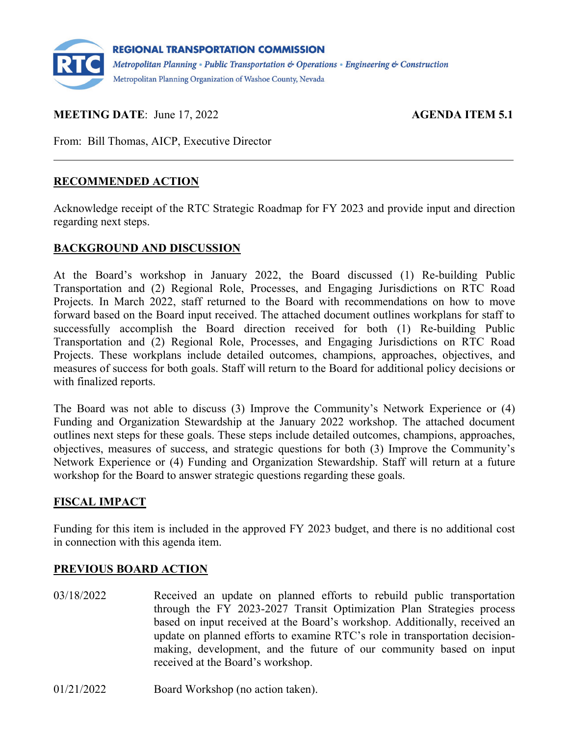

#### **MEETING DATE:** June 17, 2022 **AGENDA ITEM 5.1**

From: Bill Thomas, AICP, Executive Director

#### **RECOMMENDED ACTION**

Acknowledge receipt of the RTC Strategic Roadmap for FY 2023 and provide input and direction regarding next steps.

#### **BACKGROUND AND DISCUSSION**

At the Board's workshop in January 2022, the Board discussed (1) Re-building Public Transportation and (2) Regional Role, Processes, and Engaging Jurisdictions on RTC Road Projects. In March 2022, staff returned to the Board with recommendations on how to move forward based on the Board input received. The attached document outlines workplans for staff to successfully accomplish the Board direction received for both (1) Re-building Public Transportation and (2) Regional Role, Processes, and Engaging Jurisdictions on RTC Road Projects. These workplans include detailed outcomes, champions, approaches, objectives, and measures of success for both goals. Staff will return to the Board for additional policy decisions or with finalized reports.

The Board was not able to discuss (3) Improve the Community's Network Experience or (4) Funding and Organization Stewardship at the January 2022 workshop. The attached document outlines next steps for these goals. These steps include detailed outcomes, champions, approaches, objectives, measures of success, and strategic questions for both (3) Improve the Community's Network Experience or (4) Funding and Organization Stewardship. Staff will return at a future workshop for the Board to answer strategic questions regarding these goals.

#### **FISCAL IMPACT**

Funding for this item is included in the approved FY 2023 budget, and there is no additional cost in connection with this agenda item.

#### **PREVIOUS BOARD ACTION**

- 03/18/2022 Received an update on planned efforts to rebuild public transportation through the FY 2023-2027 Transit Optimization Plan Strategies process based on input received at the Board's workshop. Additionally, received an update on planned efforts to examine RTC's role in transportation decisionmaking, development, and the future of our community based on input received at the Board's workshop.
- 01/21/2022 Board Workshop (no action taken).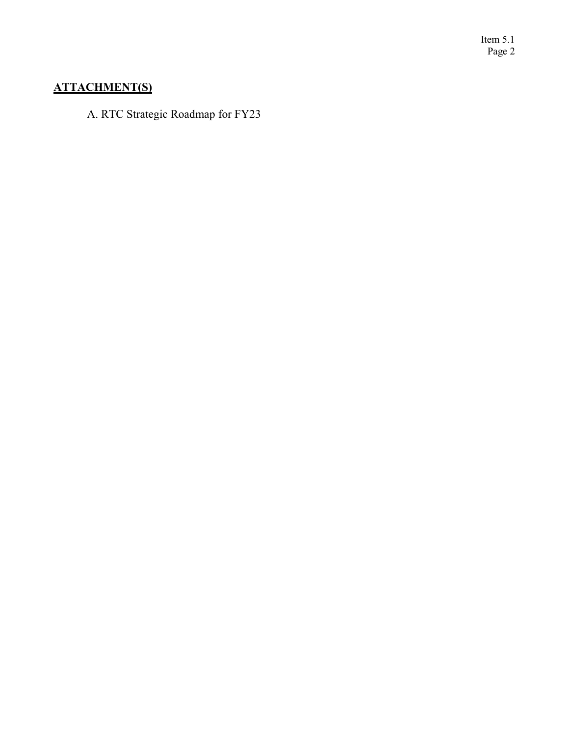Item 5.1 Page 2

### **ATTACHMENT(S)**

A. RTC Strategic Roadmap for FY23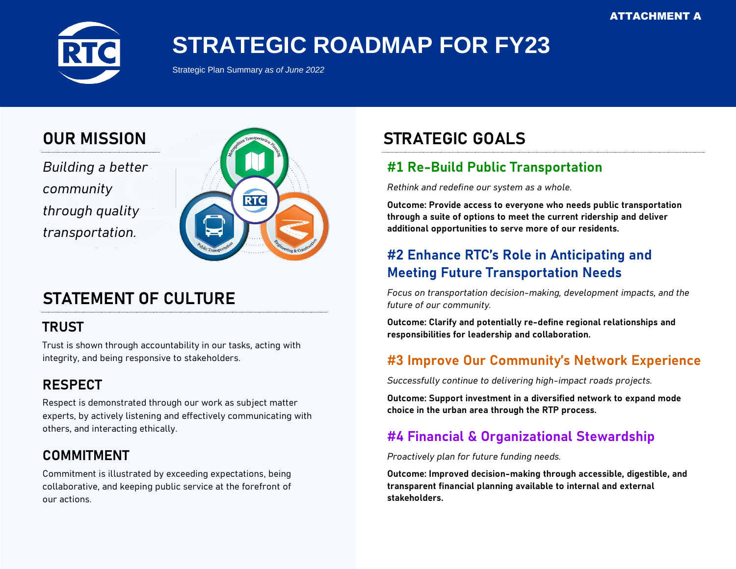

# **STRATEGIC ROADMAP FOR FY23**

Strategic Plan Summary *as of June 2022*

# **OUR MISSION**

*Building a better community through quality transportation.*



# **STATEMENT OF CULTURE**

## **TRUST**

Trust is shown through accountability in our tasks, acting with integrity, and being responsive to stakeholders.

# **RESPECT**

Respect is demonstrated through our work as subject matter experts, by actively listening and effectively communicating with others, and interacting ethically.

# **COMMITMENT**

Commitment is illustrated by exceeding expectations, being collaborative, and keeping public service at the forefront of our actions.

# **STRATEGIC GOALS**

# **#1 Re-Build Public Transportation**

*Rethink and redefine our system as a whole.*

**Outcome: Provide access to everyone who needs public transportation through a suite of options to meet the current ridership and deliver additional opportunities to serve more of our residents.**

# **#2 Enhance RTC's Role in Anticipating and Meeting Future Transportation Needs**

*Focus on transportation decision-making, development impacts, and the future of our community.*

**Outcome: Clarify and potentially re-define regional relationships and responsibilities for leadership and collaboration.**

## **#3 Improve Our Community's Network Experience**

*Successfully continue to delivering high-impact roads projects.*

**Outcome: Support investment in a diversified network to expand mode choice in the urban area through the RTP process.**

## **#4 Financial & Organizational Stewardship**

*Proactively plan for future funding needs.*

**Outcome: Improved decision-making through accessible, digestible, and transparent financial planning available to internal and external stakeholders.**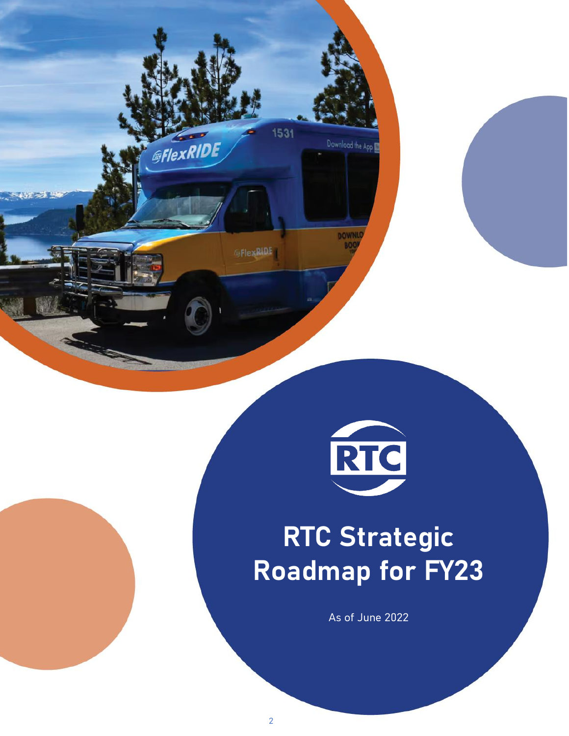



# **RTC Strategic Roadmap for FY23**

As of June 2022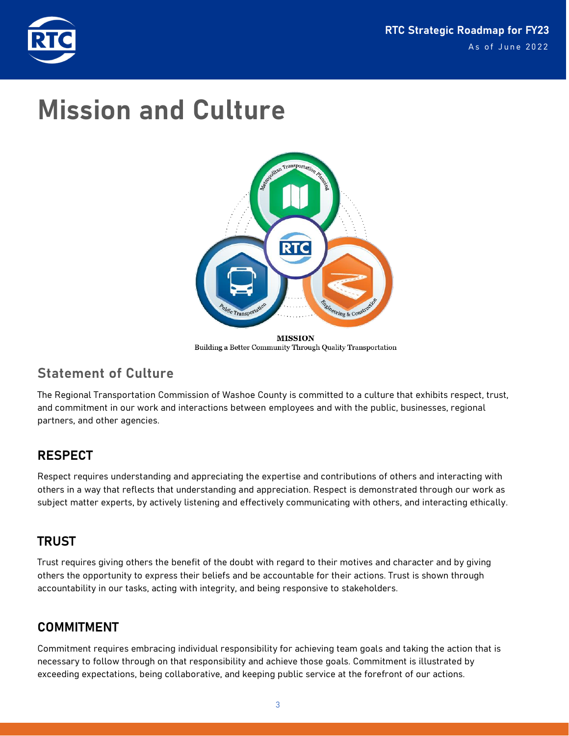

# **Mission and Culture**



Building a Better Community Through Quality Transportation

## **Statement of Culture**

The Regional Transportation Commission of Washoe County is committed to a culture that exhibits respect, trust, and commitment in our work and interactions between employees and with the public, businesses, regional partners, and other agencies.

### **RESPECT**

Respect requires understanding and appreciating the expertise and contributions of others and interacting with others in a way that reflects that understanding and appreciation. Respect is demonstrated through our work as subject matter experts, by actively listening and effectively communicating with others, and interacting ethically.

### **TRUST**

Trust requires giving others the benefit of the doubt with regard to their motives and character and by giving others the opportunity to express their beliefs and be accountable for their actions. Trust is shown through accountability in our tasks, acting with integrity, and being responsive to stakeholders.

### **COMMITMENT**

Commitment requires embracing individual responsibility for achieving team goals and taking the action that is necessary to follow through on that responsibility and achieve those goals. Commitment is illustrated by exceeding expectations, being collaborative, and keeping public service at the forefront of our actions.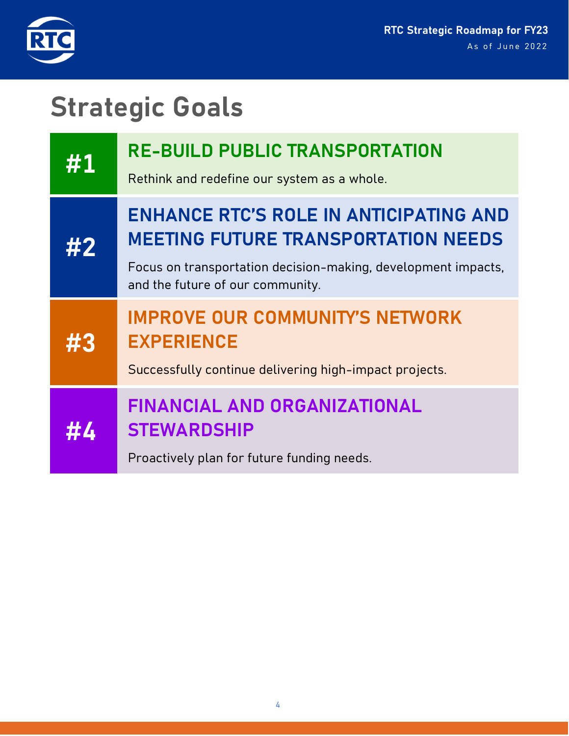

# **Strategic Goals**

| #1 | <b>RE-BUILD PUBLIC TRANSPORTATION</b><br>Rethink and redefine our system as a whole.                                                                                                             |
|----|--------------------------------------------------------------------------------------------------------------------------------------------------------------------------------------------------|
| #2 | <b>ENHANCE RTC'S ROLE IN ANTICIPATING AND</b><br><b>MEETING FUTURE TRANSPORTATION NEEDS</b><br>Focus on transportation decision-making, development impacts,<br>and the future of our community. |
| ur | <b>IMPROVE OUR COMMUNITY'S NETWORK</b><br><b>EXPERIENCE</b><br>Successfully continue delivering high-impact projects.                                                                            |
|    | <b>FINANCIAL AND ORGANIZATIONAL</b><br><b>STEWARDSHIP</b><br>Proactively plan for future funding needs.                                                                                          |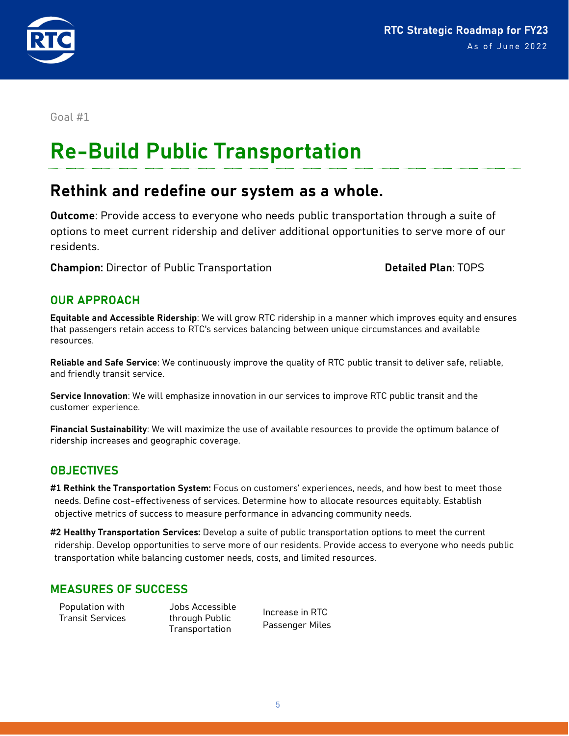

# **Re-Build Public Transportation**

# **Rethink and redefine our system as a whole.**

**Outcome**: Provide access to everyone who needs public transportation through a suite of options to meet current ridership and deliver additional opportunities to serve more of our residents.

**Champion:** Director of Public Transportation **Detailed Plan**: TOPS

#### **OUR APPROACH**

**Equitable and Accessible Ridership**: We will grow RTC ridership in a manner which improves equity and ensures that passengers retain access to RTC's services balancing between unique circumstances and available resources.

**Reliable and Safe Service**: We continuously improve the quality of RTC public transit to deliver safe, reliable, and friendly transit service.

**Service Innovation**: We will emphasize innovation in our services to improve RTC public transit and the customer experience.

**Financial Sustainability**: We will maximize the use of available resources to provide the optimum balance of ridership increases and geographic coverage*.*

#### **OBJECTIVES**

**#1 Rethink the Transportation System:** Focus on customers' experiences, needs, and how best to meet those needs. Define cost-effectiveness of services. Determine how to allocate resources equitably. Establish objective metrics of success to measure performance in advancing community needs.

**#2 Healthy Transportation Services:** Develop a suite of public transportation options to meet the current ridership. Develop opportunities to serve more of our residents. Provide access to everyone who needs public transportation while balancing customer needs, costs, and limited resources.

#### **MEASURES OF SUCCESS**

Population with Transit Services

Jobs Accessible through Public Transportation

Increase in RTC Passenger Miles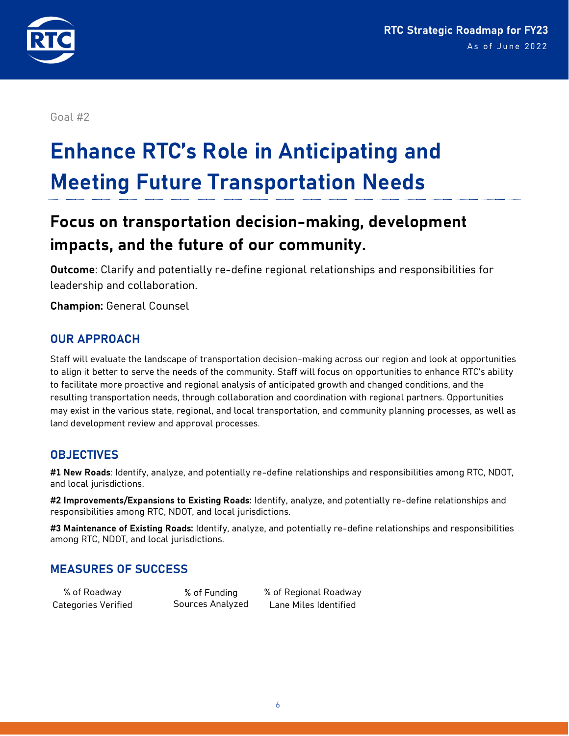

# **Enhance RTC's Role in Anticipating and Meeting Future Transportation Needs**

# **Focus on transportation decision-making, development impacts, and the future of our community.**

**Outcome**: Clarify and potentially re-define regional relationships and responsibilities for leadership and collaboration.

**Champion:** General Counsel

#### **OUR APPROACH**

Staff will evaluate the landscape of transportation decision-making across our region and look at opportunities to align it better to serve the needs of the community. Staff will focus on opportunities to enhance RTC's ability to facilitate more proactive and regional analysis of anticipated growth and changed conditions, and the resulting transportation needs, through collaboration and coordination with regional partners. Opportunities may exist in the various state, regional, and local transportation, and community planning processes, as well as land development review and approval processes.

#### **OBJECTIVES**

**#1 New Roads**: Identify, analyze, and potentially re-define relationships and responsibilities among RTC, NDOT, and local jurisdictions.

**#2 Improvements/Expansions to Existing Roads:** Identify, analyze, and potentially re-define relationships and responsibilities among RTC, NDOT, and local jurisdictions.

**#3 Maintenance of Existing Roads:** Identify, analyze, and potentially re-define relationships and responsibilities among RTC, NDOT, and local jurisdictions.

#### **MEASURES OF SUCCESS**

% of Roadway Categories Verified

% of Funding Sources Analyzed % of Regional Roadway Lane Miles Identified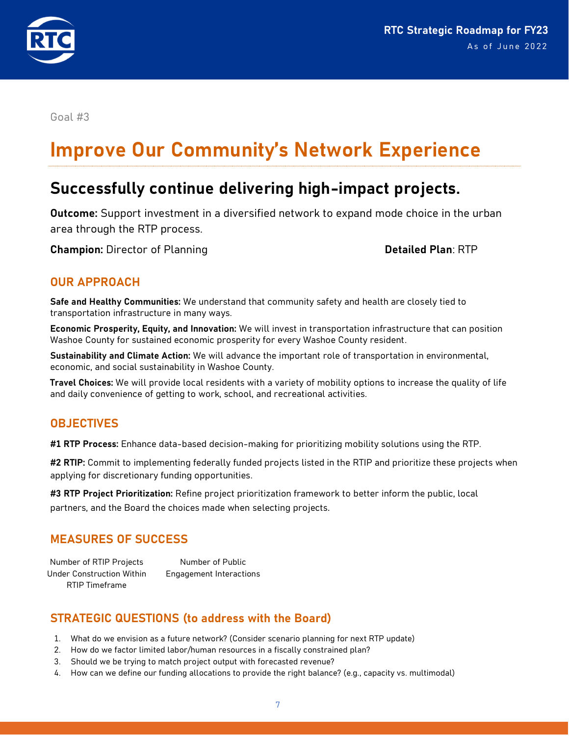

# **Improve Our Community's Network Experience**

# **Successfully continue delivering high-impact projects.**

**Outcome:** Support investment in a diversified network to expand mode choice in the urban area through the RTP process.

**Champion:** Director of Planning **Detailed Plan**: RTP

#### **OUR APPROACH**

**Safe and Healthy Communities:** We understand that community safety and health are closely tied to transportation infrastructure in many ways.

**Economic Prosperity, Equity, and Innovation:** We will invest in transportation infrastructure that can position Washoe County for sustained economic prosperity for every Washoe County resident.

**Sustainability and Climate Action:** We will advance the important role of transportation in environmental, economic, and social sustainability in Washoe County.

**Travel Choices:** We will provide local residents with a variety of mobility options to increase the quality of life and daily convenience of getting to work, school, and recreational activities.

#### **OBJECTIVES**

**#1 RTP Process:** Enhance data-based decision-making for prioritizing mobility solutions using the RTP.

**#2 RTIP:** Commit to implementing federally funded projects listed in the RTIP and prioritize these projects when applying for discretionary funding opportunities.

**#3 RTP Project Prioritization:** Refine project prioritization framework to better inform the public, local partners, and the Board the choices made when selecting projects.

#### **MEASURES OF SUCCESS**

Number of RTIP Projects Under Construction Within RTIP Timeframe Number of Public Engagement Interactions

#### **STRATEGIC QUESTIONS (to address with the Board)**

- 1. What do we envision as a future network? (Consider scenario planning for next RTP update)
- 2. How do we factor limited labor/human resources in a fiscally constrained plan?
- 3. Should we be trying to match project output with forecasted revenue?
- 4. How can we define our funding allocations to provide the right balance? (e.g., capacity vs. multimodal)